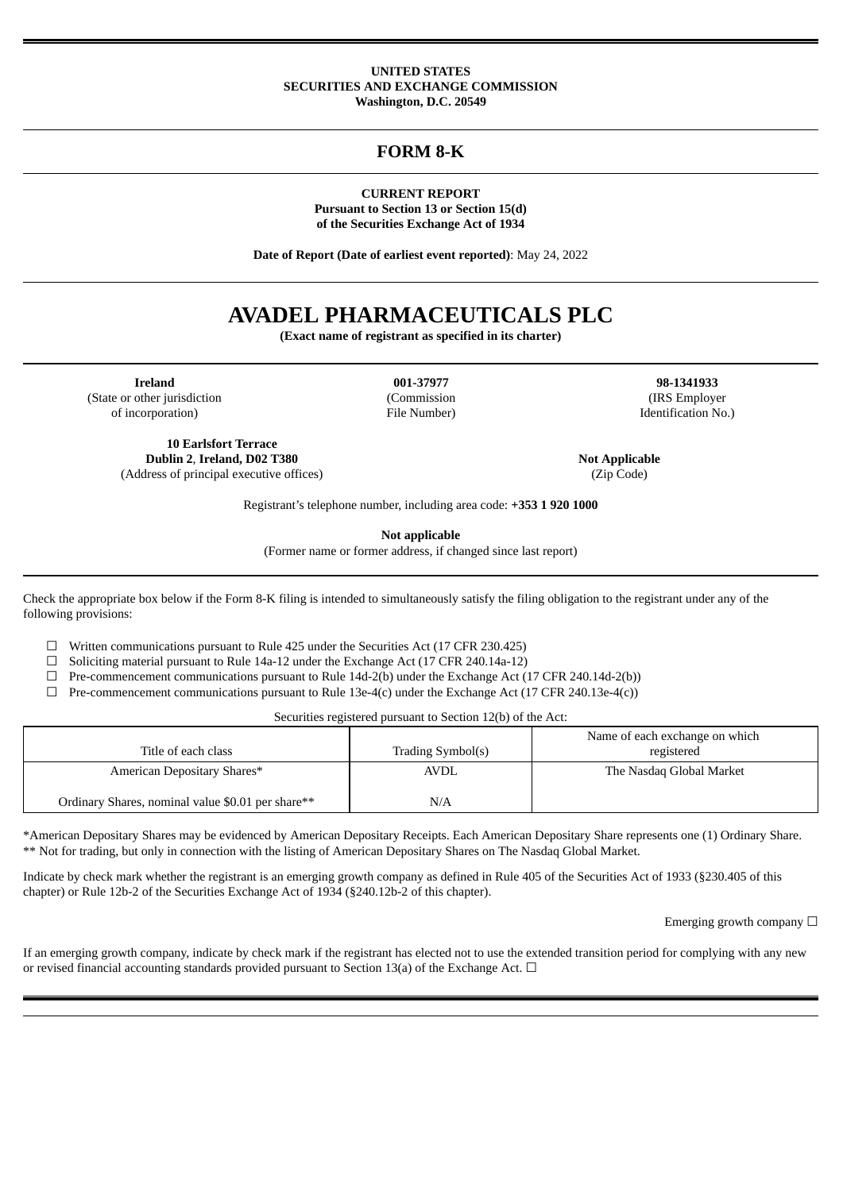#### **UNITED STATES SECURITIES AND EXCHANGE COMMISSION Washington, D.C. 20549**

## **FORM 8-K**

**CURRENT REPORT Pursuant to Section 13 or Section 15(d) of the Securities Exchange Act of 1934**

**Date of Report (Date of earliest event reported)**: May 24, 2022

# **AVADEL PHARMACEUTICALS PLC**

**(Exact name of registrant as specified in its charter)**

**Ireland 001-37977 98-1341933** (State or other jurisdiction (Commission (IRS Employer of incorporation) File Number) Identification No.)

**10 Earlsfort Terrace Dublin 2**, **Ireland, D02 T380 Not Applicable** (Address of principal executive offices) (Zip Code)

Registrant's telephone number, including area code: **+353 1 920 1000**

**Not applicable**

(Former name or former address, if changed since last report)

Check the appropriate box below if the Form 8-K filing is intended to simultaneously satisfy the filing obligation to the registrant under any of the following provisions:

 $\Box$  Written communications pursuant to Rule 425 under the Securities Act (17 CFR 230.425)

 $\Box$  Soliciting material pursuant to Rule 14a-12 under the Exchange Act (17 CFR 240.14a-12)

 $\Box$  Pre-commencement communications pursuant to Rule 14d-2(b) under the Exchange Act (17 CFR 240.14d-2(b))

 $\Box$  Pre-commencement communications pursuant to Rule 13e-4(c) under the Exchange Act (17 CFR 240.13e-4(c))

Securities registered pursuant to Section 12(b) of the Act:

| Title of each class                               | Trading Symbol(s) | Name of each exchange on which<br>registered |
|---------------------------------------------------|-------------------|----------------------------------------------|
| American Depositary Shares*                       | <b>AVDL</b>       | The Nasdag Global Market                     |
| Ordinary Shares, nominal value \$0.01 per share** | N/A               |                                              |

\*American Depositary Shares may be evidenced by American Depositary Receipts. Each American Depositary Share represents one (1) Ordinary Share. \*\* Not for trading, but only in connection with the listing of American Depositary Shares on The Nasdaq Global Market.

Indicate by check mark whether the registrant is an emerging growth company as defined in Rule 405 of the Securities Act of 1933 (§230.405 of this chapter) or Rule 12b-2 of the Securities Exchange Act of 1934 (§240.12b-2 of this chapter).

Emerging growth company  $\Box$ 

If an emerging growth company, indicate by check mark if the registrant has elected not to use the extended transition period for complying with any new or revised financial accounting standards provided pursuant to Section 13(a) of the Exchange Act.  $\Box$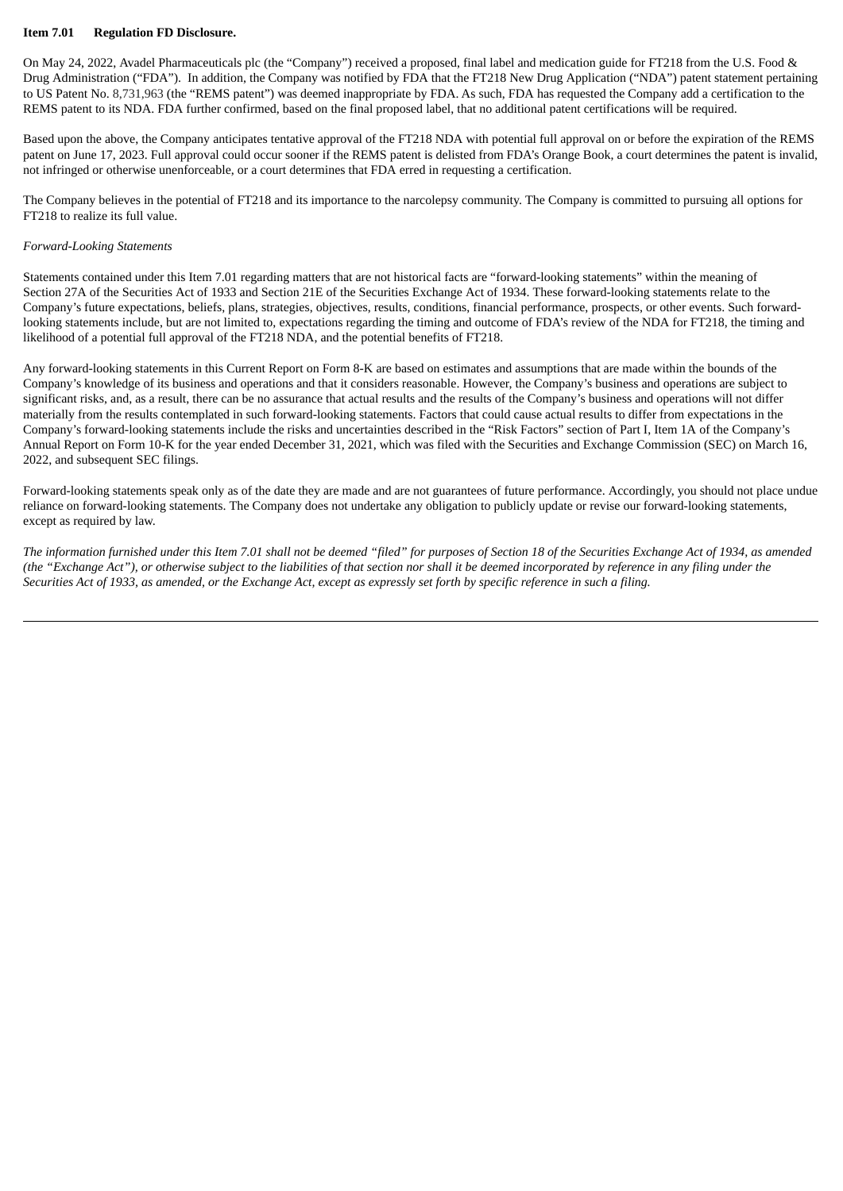#### **Item 7.01 Regulation FD Disclosure.**

On May 24, 2022, Avadel Pharmaceuticals plc (the "Company") received a proposed, final label and medication guide for FT218 from the U.S. Food & Drug Administration ("FDA"). In addition, the Company was notified by FDA that the FT218 New Drug Application ("NDA") patent statement pertaining to US Patent No. 8,731,963 (the "REMS patent") was deemed inappropriate by FDA. As such, FDA has requested the Company add a certification to the REMS patent to its NDA. FDA further confirmed, based on the final proposed label, that no additional patent certifications will be required.

Based upon the above, the Company anticipates tentative approval of the FT218 NDA with potential full approval on or before the expiration of the REMS patent on June 17, 2023. Full approval could occur sooner if the REMS patent is delisted from FDA's Orange Book, a court determines the patent is invalid, not infringed or otherwise unenforceable, or a court determines that FDA erred in requesting a certification.

The Company believes in the potential of FT218 and its importance to the narcolepsy community. The Company is committed to pursuing all options for FT218 to realize its full value.

#### *Forward-Looking Statements*

Statements contained under this Item 7.01 regarding matters that are not historical facts are "forward-looking statements" within the meaning of Section 27A of the Securities Act of 1933 and Section 21E of the Securities Exchange Act of 1934. These forward-looking statements relate to the Company's future expectations, beliefs, plans, strategies, objectives, results, conditions, financial performance, prospects, or other events. Such forwardlooking statements include, but are not limited to, expectations regarding the timing and outcome of FDA's review of the NDA for FT218, the timing and likelihood of a potential full approval of the FT218 NDA, and the potential benefits of FT218.

Any forward-looking statements in this Current Report on Form 8-K are based on estimates and assumptions that are made within the bounds of the Company's knowledge of its business and operations and that it considers reasonable. However, the Company's business and operations are subject to significant risks, and, as a result, there can be no assurance that actual results and the results of the Company's business and operations will not differ materially from the results contemplated in such forward-looking statements. Factors that could cause actual results to differ from expectations in the Company's forward-looking statements include the risks and uncertainties described in the "Risk Factors" section of Part I, Item 1A of the Company's Annual Report on Form 10-K for the year ended December 31, 2021, which was filed with the Securities and Exchange Commission (SEC) on March 16, 2022, and subsequent SEC filings.

Forward-looking statements speak only as of the date they are made and are not guarantees of future performance. Accordingly, you should not place undue reliance on forward-looking statements. The Company does not undertake any obligation to publicly update or revise our forward-looking statements, except as required by law.

The information furnished under this Item 7.01 shall not be deemed "filed" for purposes of Section 18 of the Securities Exchange Act of 1934, as amended (the "Exchange Act"), or otherwise subject to the liabilities of that section nor shall it be deemed incorporated by reference in any filing under the Securities Act of 1933, as amended, or the Exchange Act, except as expressly set forth by specific reference in such a filing.